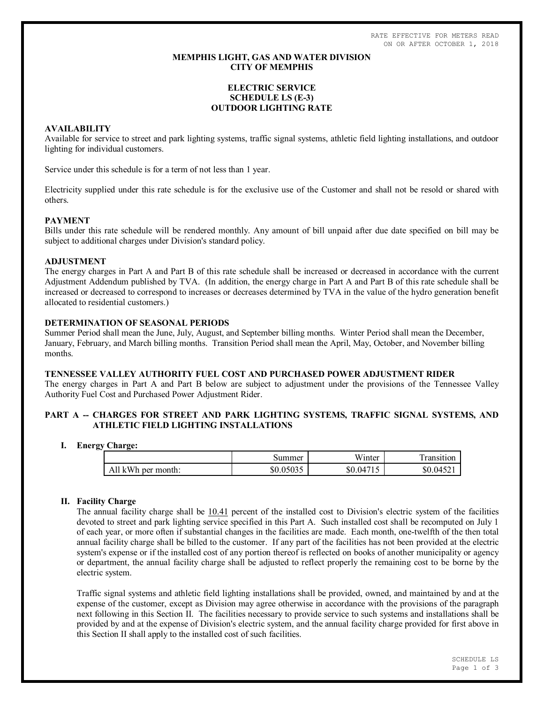RATE EFFECTIVE FOR METERS READ ON OR AFTER OCTOBER 1, 2018

### **MEMPHIS LIGHT, GAS AND WATER DIVISION CITY OF MEMPHIS**

# **ELECTRIC SERVICE SCHEDULE LS (E-3) OUTDOOR LIGHTING RATE**

# **AVAILABILITY**

Available for service to street and park lighting systems, traffic signal systems, athletic field lighting installations, and outdoor lighting for individual customers.

Service under this schedule is for a term of not less than 1 year.

Electricity supplied under this rate schedule is for the exclusive use of the Customer and shall not be resold or shared with others.

### **PAYMENT**

Bills under this rate schedule will be rendered monthly. Any amount of bill unpaid after due date specified on bill may be subject to additional charges under Division's standard policy.

### **ADJUSTMENT**

The energy charges in Part A and Part B of this rate schedule shall be increased or decreased in accordance with the current Adjustment Addendum published by TVA. (In addition, the energy charge in Part A and Part B of this rate schedule shall be increased or decreased to correspond to increases or decreases determined by TVA in the value of the hydro generation benefit allocated to residential customers.)

# **DETERMINATION OF SEASONAL PERIODS**

Summer Period shall mean the June, July, August, and September billing months. Winter Period shall mean the December, January, February, and March billing months. Transition Period shall mean the April, May, October, and November billing months.

# **TENNESSEE VALLEY AUTHORITY FUEL COST AND PURCHASED POWER ADJUSTMENT RIDER**

The energy charges in Part A and Part B below are subject to adjustment under the provisions of the Tennessee Valley Authority Fuel Cost and Purchased Power Adjustment Rider.

# **PART A -- CHARGES FOR STREET AND PARK LIGHTING SYSTEMS, TRAFFIC SIGNAL SYSTEMS, AND ATHLETIC FIELD LIGHTING INSTALLATIONS**

#### **I. Energy Charge:**

|                    | Summer    | Winter    | Transition |
|--------------------|-----------|-----------|------------|
| All kWh per month: | \$0.05035 | \$0.04715 | \$0.04521  |

# **II. Facility Charge**

The annual facility charge shall be 10.41 percent of the installed cost to Division's electric system of the facilities devoted to street and park lighting service specified in this Part A. Such installed cost shall be recomputed on July 1 of each year, or more often if substantial changes in the facilities are made. Each month, one-twelfth of the then total annual facility charge shall be billed to the customer. If any part of the facilities has not been provided at the electric system's expense or if the installed cost of any portion thereof is reflected on books of another municipality or agency or department, the annual facility charge shall be adjusted to reflect properly the remaining cost to be borne by the electric system.

Traffic signal systems and athletic field lighting installations shall be provided, owned, and maintained by and at the expense of the customer, except as Division may agree otherwise in accordance with the provisions of the paragraph next following in this Section II. The facilities necessary to provide service to such systems and installations shall be provided by and at the expense of Division's electric system, and the annual facility charge provided for first above in this Section II shall apply to the installed cost of such facilities.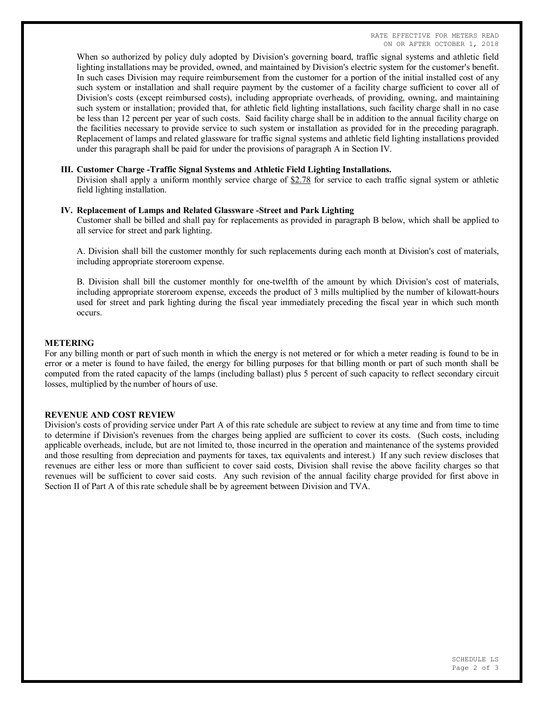When so authorized by policy duly adopted by Division's governing board, traffic signal systems and athletic field lighting installations may be provided, owned, and maintained by Division's electric system for the customer's benefit. In such cases Division may require reimbursement from the customer for a portion of the initial installed cost of any such system or installation and shall require payment by the customer of a facility charge sufficient to cover all of Division's costs (except reimbursed costs), including appropriate overheads, of providing, owning, and maintaining such system or installation; provided that, for athletic field lighting installations, such facility charge shall in no case be less than 12 percent per year of such costs. Said facility charge shall be in addition to the annual facility charge on the facilities necessary to provide service to such system or installation as provided for in the preceding paragraph. Replacement of lamps and related glassware for traffic signal systems and athletic field lighting installations provided under this paragraph shall be paid for under the provisions of paragraph A in Section IV.

#### **III. Customer Charge -Traffic Signal Systems and Athletic Field Lighting Installations.**

Division shall apply a uniform monthly service charge of \$2.78 for service to each traffic signal system or athletic field lighting installation.

### **IV. Replacement of Lamps and Related Glassware -Street and Park Lighting**

Customer shall be billed and shall pay for replacements as provided in paragraph B below, which shall be applied to all service for street and park lighting.

A. Division shall bill the customer monthly for such replacements during each month at Division's cost of materials, including appropriate storeroom expense.

B. Division shall bill the customer monthly for one-twelfth of the amount by which Division's cost of materials, including appropriate storeroom expense, exceeds the product of 3 mills multiplied by the number of kilowatt-hours used for street and park lighting during the fiscal year immediately preceding the fiscal year in which such month occurs.

#### **METERING**

For any billing month or part of such month in which the energy is not metered or for which a meter reading is found to be in error or a meter is found to have failed, the energy for billing purposes for that billing month or part of such month shall be computed from the rated capacity of the lamps (including ballast) plus 5 percent of such capacity to reflect secondary circuit losses, multiplied by the number of hours of use.

#### **REVENUE AND COST REVIEW**

Division's costs of providing service under Part A of this rate schedule are subject to review at any time and from time to time to determine if Division's revenues from the charges being applied are sufficient to cover its costs. (Such costs, including applicable overheads, include, but are not limited to, those incurred in the operation and maintenance of the systems provided and those resulting from depreciation and payments for taxes, tax equivalents and interest.) If any such review discloses that revenues are either less or more than sufficient to cover said costs, Division shall revise the above facility charges so that revenues will be sufficient to cover said costs. Any such revision of the annual facility charge provided for first above in Section II of Part A of this rate schedule shall be by agreement between Division and TVA.